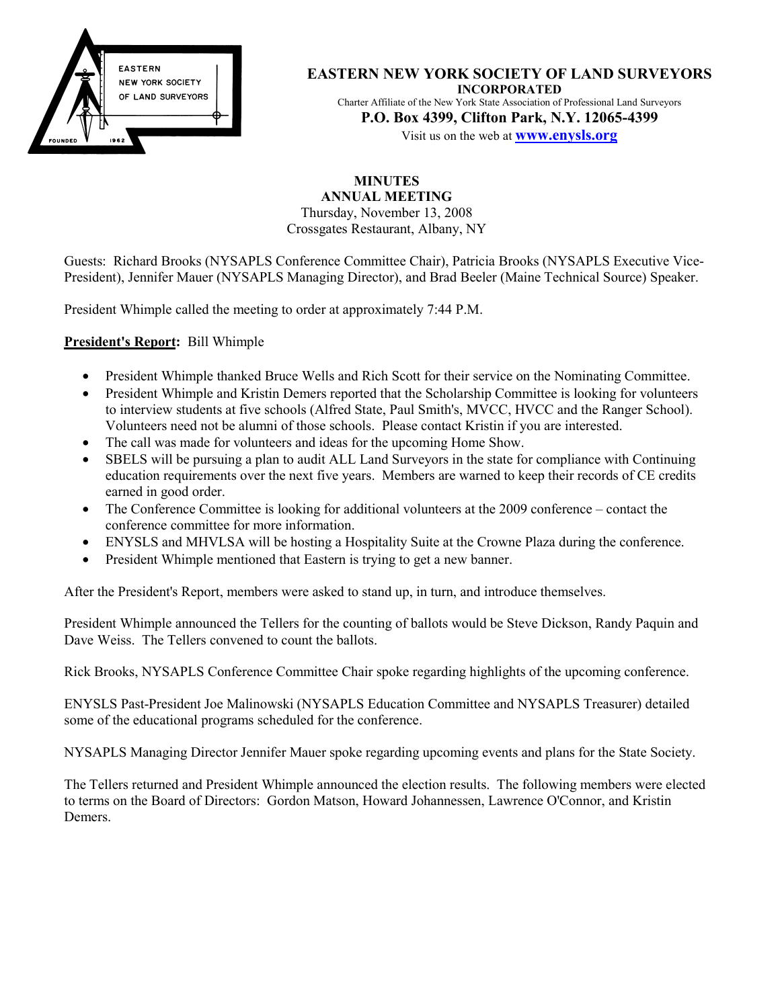

**EASTERN NEW YORK SOCIETY OF LAND SURVEYORS INCORPORATED** Charter Affiliate of the New York State Association of Professional Land Surveyors **P.O. Box 4399, Clifton Park, N.Y. 12065-4399** Visit us on the web at **www.enysls.org**

**MINUTES ANNUAL MEETING** Thursday, November 13, 2008 Crossgates Restaurant, Albany, NY

Guests: Richard Brooks (NYSAPLS Conference Committee Chair), Patricia Brooks (NYSAPLS Executive Vice-President), Jennifer Mauer (NYSAPLS Managing Director), and Brad Beeler (Maine Technical Source) Speaker.

President Whimple called the meeting to order at approximately 7:44 P.M.

**President's Report:** Bill Whimple

- President Whimple thanked Bruce Wells and Rich Scott for their service on the Nominating Committee.
- President Whimple and Kristin Demers reported that the Scholarship Committee is looking for volunteers to interview students at five schools (Alfred State, Paul Smith's, MVCC, HVCC and the Ranger School). Volunteers need not be alumni of those schools. Please contact Kristin if you are interested.
- The call was made for volunteers and ideas for the upcoming Home Show.
- SBELS will be pursuing a plan to audit ALL Land Surveyors in the state for compliance with Continuing education requirements over the next five years. Members are warned to keep their records of CE credits earned in good order.
- The Conference Committee is looking for additional volunteers at the 2009 conference contact the conference committee for more information.
- ENYSLS and MHVLSA will be hosting a Hospitality Suite at the Crowne Plaza during the conference.
- President Whimple mentioned that Eastern is trying to get a new banner.

After the President's Report, members were asked to stand up, in turn, and introduce themselves.

President Whimple announced the Tellers for the counting of ballots would be Steve Dickson, Randy Paquin and Dave Weiss. The Tellers convened to count the ballots.

Rick Brooks, NYSAPLS Conference Committee Chair spoke regarding highlights of the upcoming conference.

ENYSLS Past-President Joe Malinowski (NYSAPLS Education Committee and NYSAPLS Treasurer) detailed some of the educational programs scheduled for the conference.

NYSAPLS Managing Director Jennifer Mauer spoke regarding upcoming events and plans for the State Society.

The Tellers returned and President Whimple announced the election results. The following members were elected to terms on the Board of Directors: Gordon Matson, Howard Johannessen, Lawrence O'Connor, and Kristin Demers.